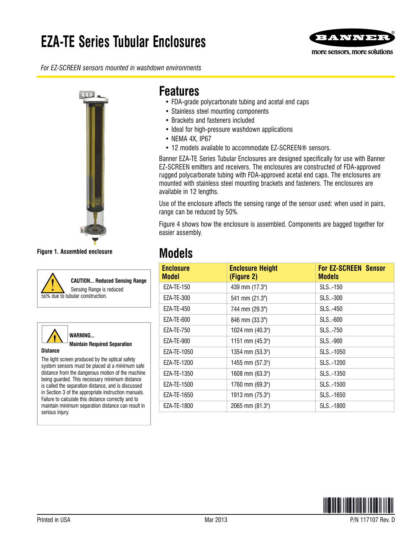# **EZA-TE Series Tubular Enclosures**



*For EZ-SCREEN sensors mounted in washdown environments*



**Figure 1. Assembled enclosure**



**CAUTION... Reduced Sensing Range** Sensing Range is reduced



**WARNING... Maintain Required Separation** 

#### **Distance**

The light screen produced by the optical safety system sensors must be placed at a minimum safe distance from the dangerous motion of the machine being guarded. This necessary minimum distance is called the separation distance, and is discussed in Section 3 of the appropriate instruction manuals. Failure to calculate this distance correctly and to maintain minimum separation distance can result in serious injury.

### **Features**

- FDA-grade polycarbonate tubing and acetal end caps
- Stainless steel mounting components
- Brackets and fasteners included
- Ideal for high-pressure washdown applications
- NEMA 4X, IP67
- 12 models available to accommodate EZ-SCREEN® sensors.

Banner EZA-TE Series Tubular Enclosures are designed specifically for use with Banner EZ-SCREEN emitters and receivers. The enclosures are constructed of FDA-approved rugged polycarbonate tubing with FDA-approved acetal end caps. The enclosures are mounted with stainless steel mounting brackets and fasteners. The enclosures are available in 12 lengths.

Use of the enclosure affects the sensing range of the sensor used: when used in pairs, range can be reduced by 50%.

Figure 4 shows how the enclosure is assembled. Components are bagged together for easier assembly.

## **Models**

| <b>Enclosure</b><br>Model | <b>Enclosure Height</b><br>(Figure 2) | <b>For EZ-SCREEN Sensor</b><br><b>Models</b> |
|---------------------------|---------------------------------------|----------------------------------------------|
| EZA-TE-150                | 439 mm (17.3")                        | SLS-150                                      |
| EZA-TE-300                | 541 mm (21.3")                        | SLS-300                                      |
| EZA-TE-450                | 744 mm (29.3")                        | SLS-450                                      |
| EZA-TE-600                | 846 mm (33.3")                        | SLS-600                                      |
| EZA-TE-750                | 1024 mm (40.3")                       | SLS-750                                      |
| EZA-TE-900                | 1151 mm (45.3")                       | SLS-900                                      |
| EZA-TE-1050               | 1354 mm (53.3")                       | SLS-1050                                     |
| EZA-TE-1200               | 1455 mm (57.3")                       | SLS-1200                                     |
| EZA-TE-1350               | 1608 mm (63.3")                       | SLS-1350                                     |
| EZA-TE-1500               | 1760 mm (69.3")                       | SLS-1500                                     |
| F7A-TF-1650               | 1913 mm (75.3")                       | $SI S. - 1650$                               |
| EZA-TE-1800               | 2065 mm (81.3")                       | SLS-1800                                     |

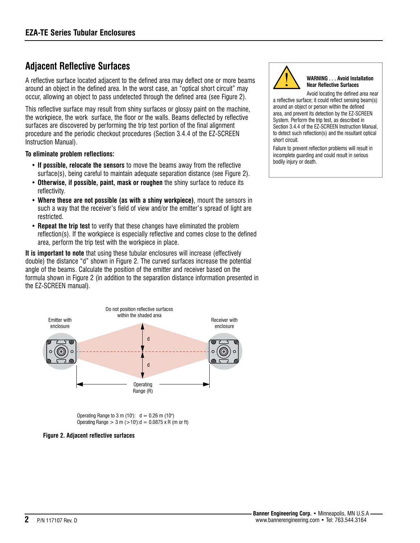### **Adjacent Reflective Surfaces**

A reflective surface located adjacent to the defined area may deflect one or more beams around an object in the defined area. In the worst case, an "optical short circuit" may occur, allowing an object to pass undetected through the defined area (see Figure 2).

This reflective surface may result from shiny surfaces or glossy paint on the machine, the workpiece, the work surface, the floor or the walls. Beams deflected by reflective surfaces are discovered by performing the trip test portion of the final alignment procedure and the periodic checkout procedures (Section 3.4.4 of the EZ-SCREEN Instruction Manual).

### **To eliminate problem reflections:**

- **If possible, relocate the sensors** to move the beams away from the reflective surface(s), being careful to maintain adequate separation distance (see Figure 2).
- **Otherwise, if possible, paint, mask or roughen** the shiny surface to reduce its reflectivity.
- **Where these are not possible (as with a shiny workpiece)**, mount the sensors in such a way that the receiver's field of view and/or the emitter's spread of light are restricted.
- **Repeat the trip test** to verify that these changes have eliminated the problem reflection(s). If the workpiece is especially reflective and comes close to the defined area, perform the trip test with the workpiece in place.

**It is important to note** that using these tubular enclosures will increase (effectively double) the distance "d" shown in Figure 2. The curved surfaces increase the potential angle of the beams. Calculate the position of the emitter and receiver based on the formula shown in Figure 2 (in addition to the separation distance information presented in the EZ-SCREEN manual).



Operating Range to 3 m (10'):  $d = 0.26$  m (10") Operating Range  $> 3$  m  $(>10^{\circ})$ : d = 0.0875 x R (m or ft)





#### **WARNING . . . Avoid Installation Near Reflective Surfaces**

Avoid locating the defined area near a reflective surface; it could reflect sensing beam(s) around an object or person within the defined area, and prevent its detection by the EZ-SCREEN System. Perform the trip test, as described in Section 3.4.4 of the EZ-SCREEN Instruction Manual, to detect such reflection(s) and the resultant optical short circuit.

Failure to prevent reflection problems will result in incomplete guarding and could result in serious bodily injury or death.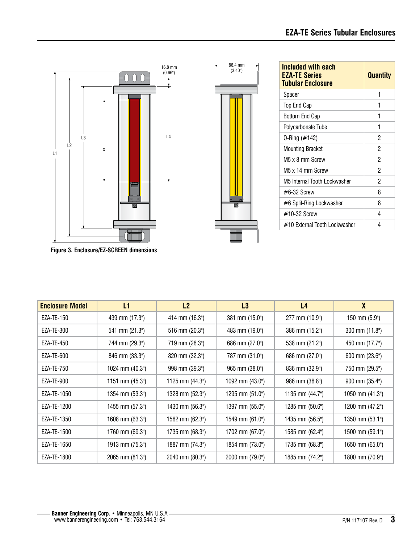

**Figure 3. Enclosure/EZ-SCREEN dimensions**

| <b>Enclosure Model</b> | L1              | L2              | L3              | L <sub>4</sub>           | $\boldsymbol{X}$ |
|------------------------|-----------------|-----------------|-----------------|--------------------------|------------------|
| EZA-TE-150             | 439 mm (17.3")  | 414 mm (16.3")  | 381 mm (15.0")  | 277 mm (10.9")           | 150 mm (5.9")    |
| EZA-TE-300             | 541 mm (21.3")  | 516 mm (20.3")  | 483 mm (19.0")  | 386 mm (15.2")           | 300 mm (11.8")   |
| EZA-TE-450             | 744 mm (29.3")  | 719 mm (28.3")  | 686 mm (27.0")  | 538 mm (21.2")           | 450 mm (17.7")   |
| EZA-TE-600             | 846 mm (33.3")  | 820 mm (32.3")  | 787 mm (31.0")  | 686 mm (27.0")           | 600 mm (23.6")   |
| EZA-TE-750             | 1024 mm (40.3") | 998 mm (39.3")  | 965 mm (38.0")  | 836 mm (32.9")           | 750 mm (29.5")   |
| EZA-TE-900             | 1151 mm (45.3") | 1125 mm (44.3") | 1092 mm (43.0") | 986 mm (38.8")           | 900 mm (35.4")   |
| EZA-TE-1050            | 1354 mm (53.3") | 1328 mm (52.3") | 1295 mm (51.0") | 1135 mm $(44.7^{\circ})$ | 1050 mm (41.3")  |
| EZA-TE-1200            | 1455 mm (57.3") | 1430 mm (56.3") | 1397 mm (55.0") | 1285 mm $(50.6")$        | 1200 mm (47.2")  |
| EZA-TE-1350            | 1608 mm (63.3") | 1582 mm (62.3") | 1549 mm (61.0") | 1435 mm (56.5")          | 1350 mm (53.1")  |
| EZA-TE-1500            | 1760 mm (69.3") | 1735 mm (68.3") | 1702 mm (67.0") | 1585 mm (62.4")          | 1500 mm (59.1")  |
| EZA-TE-1650            | 1913 mm (75.3") | 1887 mm (74.3") | 1854 mm (73.0") | 1735 mm (68.3")          | 1650 mm (65.0")  |
| EZA-TE-1800            | 2065 mm (81.3") | 2040 mm (80.3") | 2000 mm (79.0") | 1885 mm (74.2")          | 1800 mm (70.9")  |



| Included with each<br><b>EZA-TE Series</b><br><b>Tubular Enclosure</b> | <b>Quantity</b> |
|------------------------------------------------------------------------|-----------------|
| Spacer                                                                 | 1               |
| Top End Cap                                                            | 1               |
| Bottom End Cap                                                         | 1               |
| Polycarbonate Tube                                                     | 1               |
| 0-Ring (#142)                                                          | 2               |
| <b>Mounting Bracket</b>                                                | 2               |
| M5 x 8 mm Screw                                                        | 2               |
| M5 x 14 mm Screw                                                       | 2               |
| M5 Internal Tooth Lockwasher                                           | 2               |
| $\#6-32$ Screw                                                         | 8               |
| #6 Split-Ring Lockwasher                                               | 8               |
| $\#10-32$ Screw                                                        | 4               |
| #10 External Tooth Lockwasher                                          | 4               |